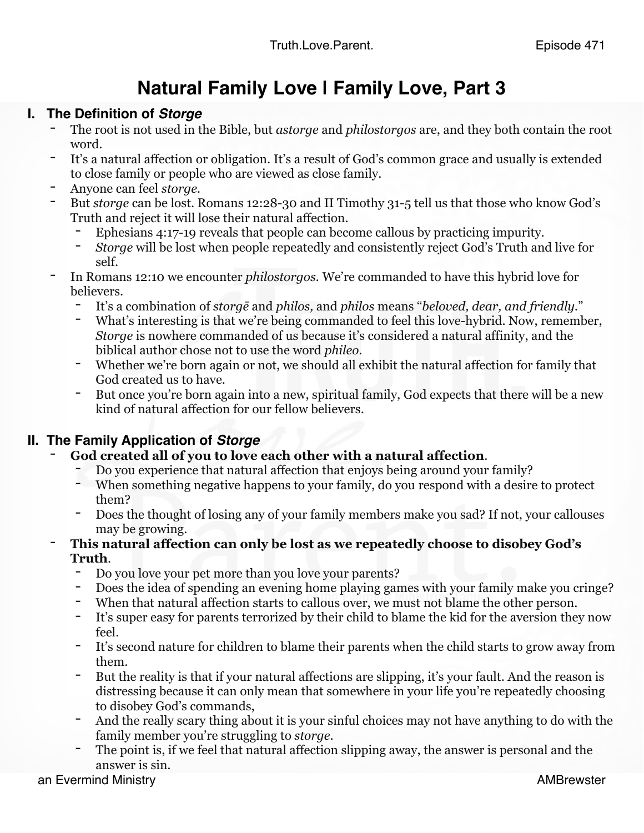## **Natural Family Love | Family Love, Part 3**

- **I. The Definition of** *Storge*<br>The root is not used in the Bible, but *astorge* and *philostorgos* are, and they both contain the root word.
	- It's a natural affection or obligation. It's a result of God's common grace and usually is extended to close family or people who are viewed as close family.
	- Anyone can feel *storge.*
	- But *storge* can be lost. Romans 12:28-30 and II Timothy 31-5 tell us that those who know God's Truth and reject it will lose their natural affection.
		- Ephesians 4:17-19 reveals that people can become callous by practicing impurity.
		- *Storge* will be lost when people repeatedly and consistently reject God's Truth and live for self.
	- In Romans 12:10 we encounter *philostorgos.* We're commanded to have this hybrid love for believers.
		- It's a combination of *storgē* and *philos,* and *philos* means "*beloved, dear, and friendly.*"
		- What's interesting is that we're being commanded to feel this love-hybrid. Now, remember, *Storge* is nowhere commanded of us because it's considered a natural affinity, and the biblical author chose not to use the word *phileo.*
		- Whether we're born again or not, we should all exhibit the natural affection for family that God created us to have.
		- But once you're born again into a new, spiritual family, God expects that there will be a new kind of natural affection for our fellow believers.

- **II. The Family Application of** *Storge* **God created all of you to love each other with a natural affection**.
	- Do you experience that natural affection that enjoys being around your family?
	- When something negative happens to your family, do you respond with a desire to protect them?
	- Does the thought of losing any of your family members make you sad? If not, your callouses may be growing.
	- This natural affection can only be lost as we repeatedly choose to disobey God's **Truth**.
		- Do you love your pet more than you love your parents?
		- Does the idea of spending an evening home playing games with your family make you cringe?
		- When that natural affection starts to callous over, we must not blame the other person.
		- It's super easy for parents terrorized by their child to blame the kid for the aversion they now feel.
		- It's second nature for children to blame their parents when the child starts to grow away from them.
		- But the reality is that if your natural affections are slipping, it's your fault. And the reason is distressing because it can only mean that somewhere in your life you're repeatedly choosing to disobey God's commands,
		- And the really scary thing about it is your sinful choices may not have anything to do with the family member you're struggling to *storge*.
		- The point is, if we feel that natural affection slipping away, the answer is personal and the answer is sin.